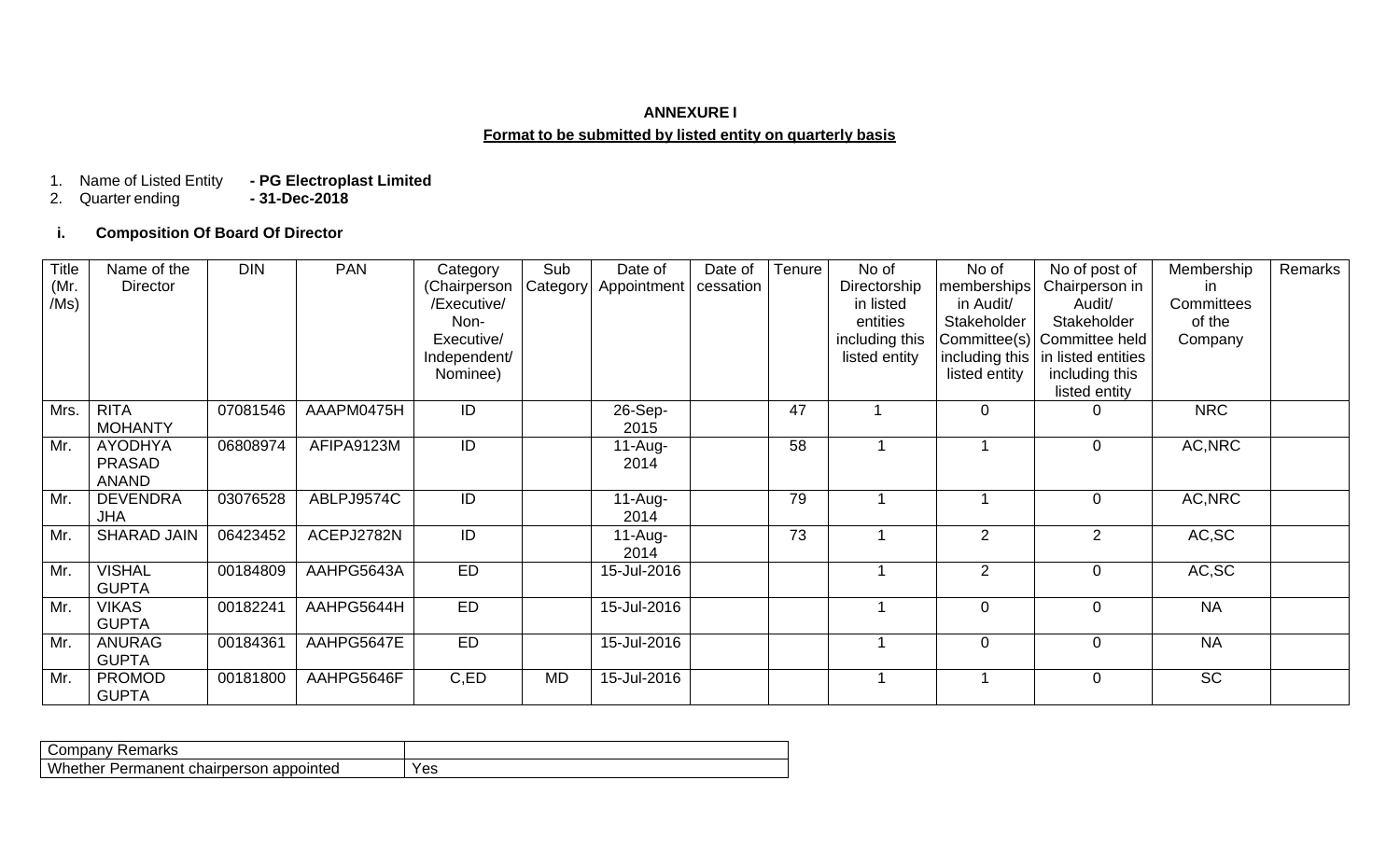## **ANNEXURE I Format to be submitted by listed entity on quarterly basis**

## - PG Electroplast Limited<br>- 31-Dec-2018 1. Name of Listed Entity<br>2. Quarter ending

# **i. Composition Of Board Of Director**

| <b>Title</b> | Name of the        | <b>DIN</b> | <b>PAN</b> | Category     | Sub       | Date of     | Date of   | Tenure          | No of          | No of          | No of post of               | Membership | Remarks |
|--------------|--------------------|------------|------------|--------------|-----------|-------------|-----------|-----------------|----------------|----------------|-----------------------------|------------|---------|
| (Mr.         | Director           |            |            | (Chairperson | Category  | Appointment | cessation |                 | Directorship   | memberships    | Chairperson in              | in.        |         |
| /Ms)         |                    |            |            | /Executive/  |           |             |           |                 | in listed      | in Audit/      | Audit/                      | Committees |         |
|              |                    |            |            | Non-         |           |             |           |                 | entities       | Stakeholder    | Stakeholder                 | of the     |         |
|              |                    |            |            | Executive/   |           |             |           |                 | including this |                | Committee(s) Committee held | Company    |         |
|              |                    |            |            | Independent/ |           |             |           |                 | listed entity  | including this | in listed entities          |            |         |
|              |                    |            |            | Nominee)     |           |             |           |                 |                | listed entity  | including this              |            |         |
|              |                    |            |            |              |           |             |           |                 |                |                | listed entity               |            |         |
| Mrs.         | <b>RITA</b>        | 07081546   | AAAPM0475H | ID           |           | 26-Sep-     |           | $\overline{47}$ |                | $\mathbf 0$    |                             | <b>NRC</b> |         |
|              | <b>MOHANTY</b>     |            |            |              |           | 2015        |           |                 |                |                |                             |            |         |
| Mr.          | <b>AYODHYA</b>     | 06808974   | AFIPA9123M | ID           |           | $11-Au$ g-  |           | 58              |                |                | $\mathbf 0$                 | AC, NRC    |         |
|              | <b>PRASAD</b>      |            |            |              |           | 2014        |           |                 |                |                |                             |            |         |
|              | <b>ANAND</b>       |            |            |              |           |             |           |                 |                |                |                             |            |         |
| Mr.          | <b>DEVENDRA</b>    | 03076528   | ABLPJ9574C | ID           |           | $11-Au$ g-  |           | 79              |                |                | $\mathbf 0$                 | AC, NRC    |         |
|              | <b>JHA</b>         |            |            |              |           | 2014        |           |                 |                |                |                             |            |         |
| Mr.          | <b>SHARAD JAIN</b> | 06423452   | ACEPJ2782N | ID           |           | $11-Au$ g-  |           | 73              |                | 2              | $\overline{2}$              | AC,SC      |         |
|              |                    |            |            |              |           | 2014        |           |                 |                |                |                             |            |         |
| Mr.          | <b>VISHAL</b>      | 00184809   | AAHPG5643A | <b>ED</b>    |           | 15-Jul-2016 |           |                 |                | 2              | $\overline{0}$              | AC, SC     |         |
|              | <b>GUPTA</b>       |            |            |              |           |             |           |                 |                |                |                             |            |         |
| Mr.          | <b>VIKAS</b>       | 00182241   | AAHPG5644H | <b>ED</b>    |           | 15-Jul-2016 |           |                 |                | $\mathbf 0$    | $\overline{0}$              | <b>NA</b>  |         |
|              | <b>GUPTA</b>       |            |            |              |           |             |           |                 |                |                |                             |            |         |
| Mr.          | <b>ANURAG</b>      | 00184361   | AAHPG5647E | <b>ED</b>    |           | 15-Jul-2016 |           |                 |                | $\mathbf{0}$   | $\overline{0}$              | <b>NA</b>  |         |
|              | <b>GUPTA</b>       |            |            |              |           |             |           |                 |                |                |                             |            |         |
| Mr.          | <b>PROMOD</b>      | 00181800   | AAHPG5646F | C,ED         | <b>MD</b> | 15-Jul-2016 |           |                 |                |                | $\overline{0}$              | <b>SC</b>  |         |
|              | <b>GUPTA</b>       |            |            |              |           |             |           |                 |                |                |                             |            |         |

| रemarks<br>Tibdi                                               |     |
|----------------------------------------------------------------|-----|
| Whether<br>$-$<br>appointed<br><b>Permanent</b><br>chairperson | Yes |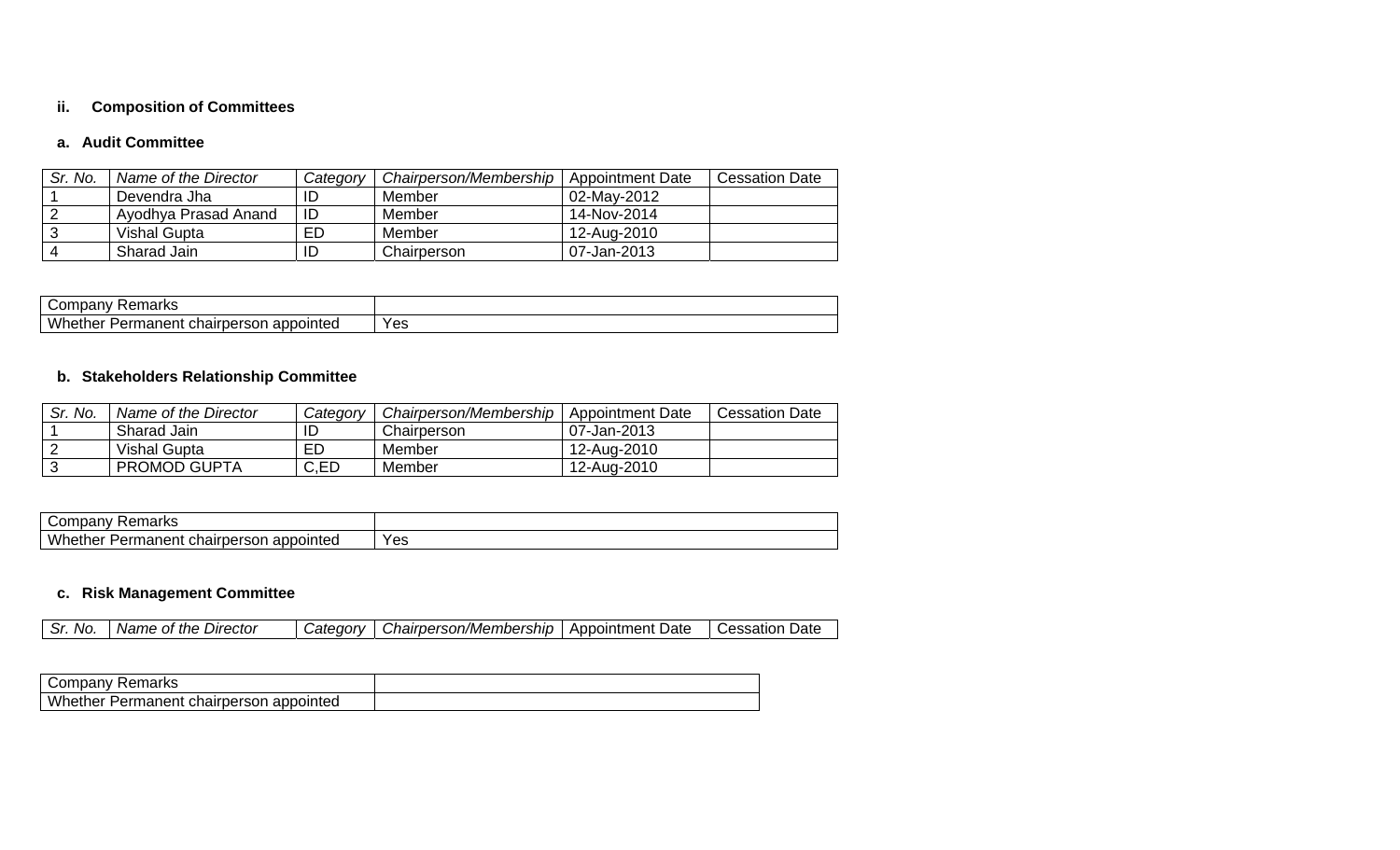## **ii. Composition of Committees**

#### **a. Audit Committee**

| Sr. No. | Name of the Director | Category | Chairperson/Membership | Appointment Date | <b>Cessation Date</b> |
|---------|----------------------|----------|------------------------|------------------|-----------------------|
|         | Devendra Jha         | ID       | Member                 | 02-May-2012      |                       |
|         | Ayodhya Prasad Anand | ID       | Member                 | 14-Nov-2014      |                       |
|         | Vishal Gupta         | ED       | Member                 | 12-Aug-2010      |                       |
|         | Sharad Jain          | ID       | Chairperson            | 07-Jan-2013      |                       |

| ∽<br>, ,,,,,,,<br>$\mathsf{C}^{\mathsf{C}}$<br>ាសេ<br>. IAI<br>на          |     |
|----------------------------------------------------------------------------|-----|
| <b>Wh</b><br>appointed<br>$-1 - 1$<br>chairperson<br>nanent<br>zen.<br>neı | Yes |

# **b. Stakeholders Relationship Committee**

| Sr. No. | Name of the Director | Category | Chairperson/Membership | <b>Appointment Date</b> | <b>Cessation Date</b> |
|---------|----------------------|----------|------------------------|-------------------------|-----------------------|
|         | Sharad Jain          | ID       | Chairperson            | 07-Jan-2013             |                       |
| ⌒       | Vishal Gupta         | ЕD       | Member                 | 12-Aug-2010             |                       |
| ⌒       | <b>PROMOD GUPTA</b>  | C,ED     | Member                 | 12-Aug-2010             |                       |

| ∽<br>$-$ 100 $-$ 10 $-$ 0<br>Con<br>narks<br>≺er<br>ndanv                           |     |
|-------------------------------------------------------------------------------------|-----|
| <b>Whe</b><br>$\sim$ $\omega$<br>chairperson<br>appointed<br>nanent<br>Pern<br>.ner | Yes |

# **c. Risk Management Committee**

| c.<br>No.<br>- 21. | Director<br>Name<br>the<br>. Of | <i>Category</i> | Chairperson/Membership | Date<br>Appointment | Date<br>⊖essation |
|--------------------|---------------------------------|-----------------|------------------------|---------------------|-------------------|

| Remarks<br>∵ompanyٽ                     |  |
|-----------------------------------------|--|
| Whether Permanent chairperson appointed |  |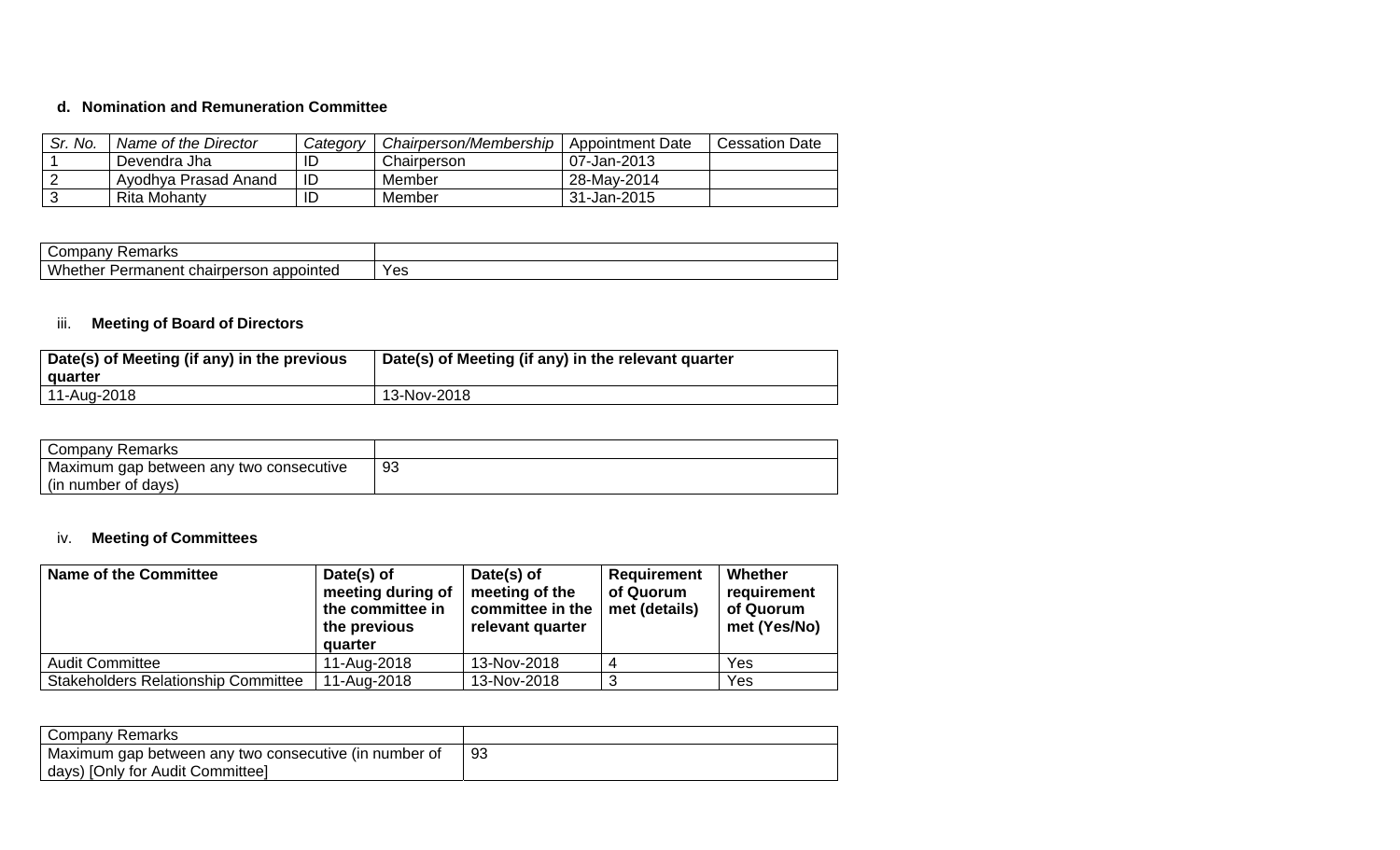#### **d. Nomination and Remuneration Committee**

| Sr. No. | Name of the Director | Category | Chairperson/Membership | Appointment Date | <b>Cessation Date</b> |
|---------|----------------------|----------|------------------------|------------------|-----------------------|
|         | Devendra Jha         |          | Chairperson            | 07-Jan-2013      |                       |
|         | Ayodhya Prasad Anand | ID       | Member                 | 28-May-2014      |                       |
|         | Rita Mohanty         |          | Member                 | 31-Jan-2015      |                       |

| maxerr<br>ndariv<br>παικε<br>--                                  |     |
|------------------------------------------------------------------|-----|
| <b>\A/k</b><br>appointed<br>ner<br>nairpersor<br>Permanent.<br>u | Yes |

## iii. **Meeting of Board of Directors**

| Date(s) of Meeting (if any) in the previous<br>quarter | Date(s) of Meeting (if any) in the relevant quarter |
|--------------------------------------------------------|-----------------------------------------------------|
| 11-Aug-2018                                            | 13-Nov-2018                                         |

| Company Remarks                         |    |
|-----------------------------------------|----|
| Maximum gap between any two consecutive | 93 |
| (in number of days)                     |    |

# iv. **Meeting of Committees**

| <b>Name of the Committee</b>               | Date(s) of<br>meeting during of<br>the committee in<br>the previous<br>quarter | Date(s) of<br>meeting of the<br>committee in the<br>relevant quarter | <b>Requirement</b><br>of Quorum<br>met (details) | Whether<br>requirement<br>of Quorum<br>met (Yes/No) |
|--------------------------------------------|--------------------------------------------------------------------------------|----------------------------------------------------------------------|--------------------------------------------------|-----------------------------------------------------|
| <b>Audit Committee</b>                     | 11-Aug-2018                                                                    | 13-Nov-2018                                                          |                                                  | Yes                                                 |
| <b>Stakeholders Relationship Committee</b> | 11-Aug-2018                                                                    | 13-Nov-2018                                                          |                                                  | Yes                                                 |

| Company Remarks                                       |     |
|-------------------------------------------------------|-----|
| Maximum gap between any two consecutive (in number of | -93 |
| days) [Only for Audit Committee]                      |     |